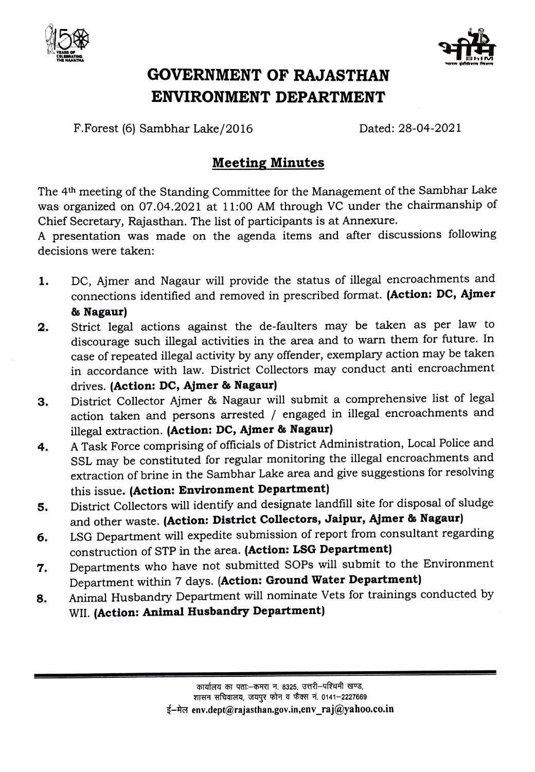



## GOVERNMENT OF RAJASTHAN ENVIRONMENT DEPARTMENT

F.Forest (6) Sambhar Lake/2016 Dated: 28-04-2021

## Meeting Minutes

The 4th meeting of the Standing Committee for the Management of the Sambhar Lake was organized on 07.04.2021 at 11:00 AM through VC under the chairmanship of Chief Secretary, Rajasthan. The list of participants is at Annexure.

presentation was made on the agenda items and after discussions following decisions were taken:

- DC, Ajmer and Nagaur will provide the status of illegal encroachments and connections identified and removed in prescribed format. (Action: DC, Ajmer 8 Nagaur) 1.
- Strict legal actions against the de-faulters may be taken as per law to discourage such illegal activities in the area and to warn them for future. In case of repeated illegal activity by any offender, exemplary action may be taken accordance with law. District Collectors may conduct anti encroachment drives. (Action: DC, Ajmer & Nagaur) 2.
- District Collector Ajmer & Nagaur will submit a comprehensive list of legal action taken and persons arrested / engaged in illegal encroachments and illegal extraction. (Action: DC, Ajmer & Nagaur) 3.
- A Task Force comprising of officials of District Administration, Local Police and sSL may be constituted for regular monitoring the illegal encroachments and extraction of brine in the Sambhar Lake area and give suggestions for resolving this issue. (Action: Environment Department) 4.
- District Collectors will identify and designate landfill site for disposal of sludge and other waste. (Action: District Collectors, Jaipur, Ajmer & Nagaur) 5.
- LSG Department will expedite submission of report from consultant regarding construction of STP in the area. (Action: LSG Department) 6.
- Departments who have not submitted SOPs will submit to the Environment Department within 7 days. (Action: Ground Water Department) 7.
- Animal Husbandry Department will nominate Vets for trainings conducted by WII. (Action: Animal Husbandry Department) 8.